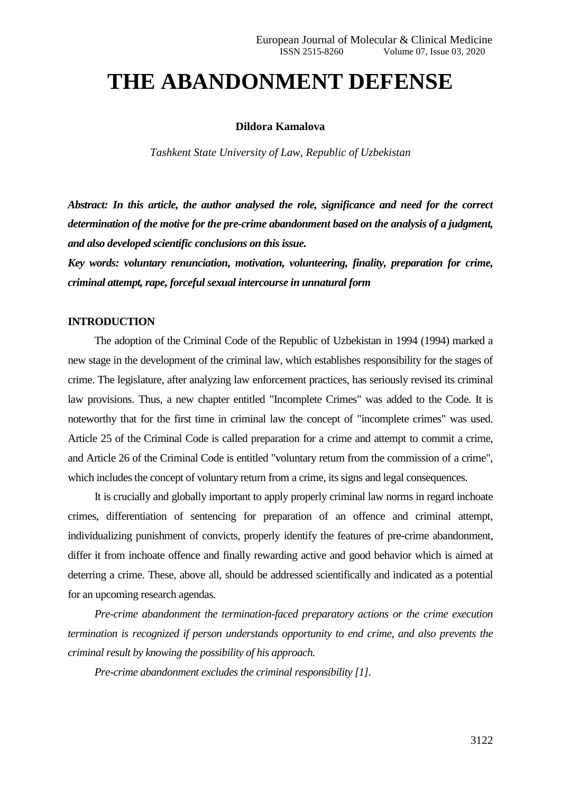# **THE ABANDONMENT DEFENSE**

#### **Dildora Kamalova**

*Tashkent State University of Law, Republic of Uzbekistan*

*Abstract: In this article, the author analysed the role, significance and need for the correct determination of the motive for the pre-crime abandonment based on the analysis of a judgment, and also developed scientific conclusions on this issue.*

*Key words: voluntary renunciation, motivation, volunteering, finality, preparation for crime, criminal attempt, rape, forceful sexual intercourse in unnatural form*

## **INTRODUCTION**

The adoption of the Criminal Code of the Republic of Uzbekistan in 1994 (1994) marked a new stage in the development of the criminal law, which establishes responsibility for the stages of crime. The legislature, after analyzing law enforcement practices, has seriously revised its criminal law provisions. Thus, a new chapter entitled "Incomplete Crimes" was added to the Code. It is noteworthy that for the first time in criminal law the concept of "incomplete crimes" was used. Article 25 of the Criminal Code is called preparation for a crime and attempt to commit a crime, and Article 26 of the Criminal Code is entitled "voluntary return from the commission of a crime", which includes the concept of voluntary return from a crime, its signs and legal consequences.

It is crucially and globally important to apply properly criminal law norms in regard inchoate crimes, differentiation of sentencing for preparation of an offence and criminal attempt, individualizing punishment of convicts, properly identify the features of pre-crime abandonment, differ it from inchoate offence and finally rewarding active and good behavior which is aimed at deterring a crime. These, above all, should be addressed scientifically and indicated as a potential for an upcoming research agendas.

*Pre-crime abandonment the termination-faced preparatory actions or the crime execution termination is recognized if person understands opportunity to end crime, and also prevents the criminal result by knowing the possibility of his approach.*

*Pre-crime abandonment excludes the criminal responsibility [1].*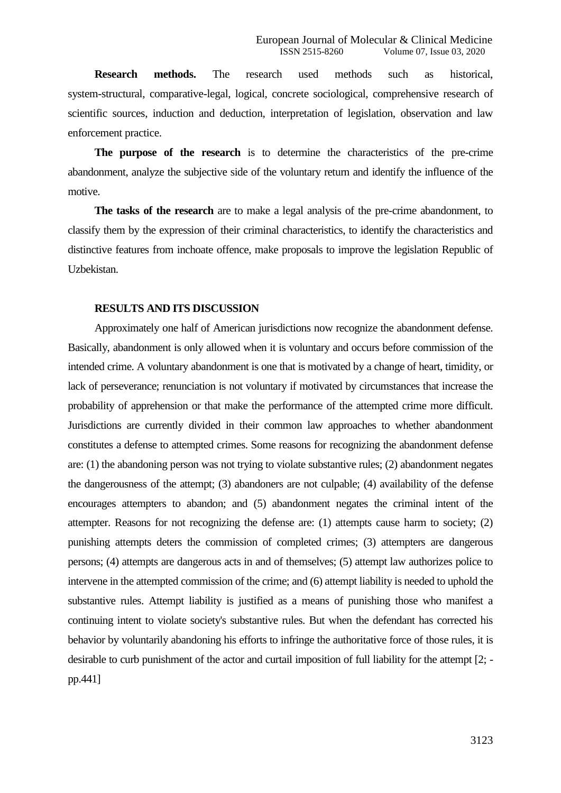**Research methods.** The research used methods such as historical, system-structural, comparative-legal, logical, concrete sociological, comprehensive research of scientific sources, induction and deduction, interpretation of legislation, observation and law enforcement practice.

**The purpose of the research** is to determine the characteristics of the pre-crime abandonment, analyze the subjective side of the voluntary return and identify the influence of the motive.

**The tasks of the research** are to make a legal analysis of the pre-crime abandonment, to classify them by the expression of their criminal characteristics, to identify the characteristics and distinctive features from inchoate offence, make proposals to improve the legislation Republic of Uzbekistan.

### **RESULTS AND ITS DISCUSSION**

Approximately one half of American jurisdictions now recognize the abandonment defense. Basically, abandonment is only allowed when it is voluntary and occurs before commission of the intended crime. A voluntary abandonment is one that is motivated by a change of heart, timidity, or lack of perseverance; renunciation is not voluntary if motivated by circumstances that increase the probability of apprehension or that make the performance of the attempted crime more difficult. Jurisdictions are currently divided in their common law approaches to whether abandonment constitutes a defense to attempted crimes. Some reasons for recognizing the abandonment defense are: (1) the abandoning person was not trying to violate substantive rules; (2) abandonment negates the dangerousness of the attempt; (3) abandoners are not culpable; (4) availability of the defense encourages attempters to abandon; and (5) abandonment negates the criminal intent of the attempter. Reasons for not recognizing the defense are: (1) attempts cause harm to society; (2) punishing attempts deters the commission of completed crimes; (3) attempters are dangerous persons; (4) attempts are dangerous acts in and of themselves; (5) attempt law authorizes police to intervene in the attempted commission of the crime; and (6) attempt liability is needed to uphold the substantive rules. Attempt liability is justified as a means of punishing those who manifest a continuing intent to violate society's substantive rules. But when the defendant has corrected his behavior by voluntarily abandoning his efforts to infringe the authoritative force of those rules, it is desirable to curb punishment of the actor and curtail imposition of full liability for the attempt [2; pp.441]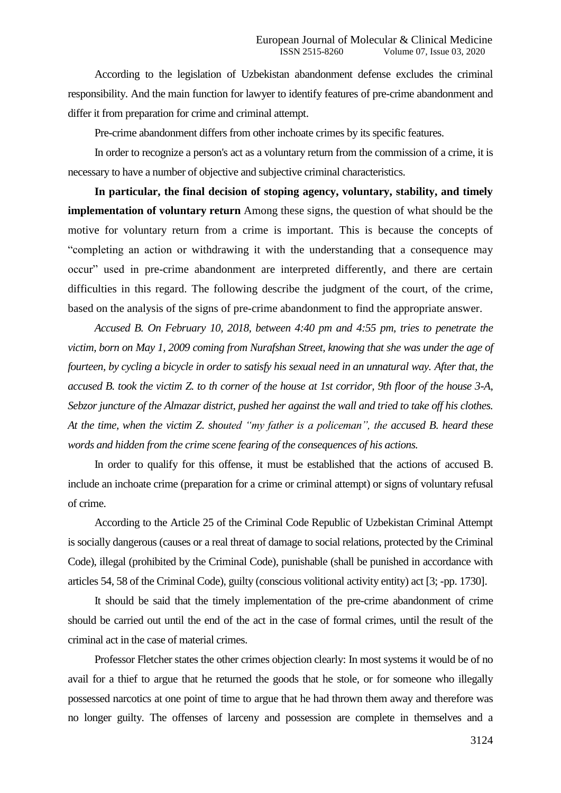According to the legislation of Uzbekistan abandonment defense excludes the criminal responsibility. And the main function for lawyer to identify features of pre-crime abandonment and differ it from preparation for crime and criminal attempt.

Pre-crime abandonment differs from other inchoate crimes by its specific features.

In order to recognize a person's act as a voluntary return from the commission of a crime, it is necessary to have a number of objective and subjective criminal characteristics.

**In particular, the final decision of stoping agency, voluntary, stability, and timely implementation of voluntary return** Among these signs, the question of what should be the motive for voluntary return from a crime is important. This is because the concepts of "completing an action or withdrawing it with the understanding that a consequence may occur" used in pre-crime abandonment are interpreted differently, and there are certain difficulties in this regard. The following describe the judgment of the court, of the crime, based on the analysis of the signs of pre-crime abandonment to find the appropriate answer.

*Accused B. On February 10, 2018, between 4:40 pm and 4:55 pm, tries to penetrate the victim, born on May 1, 2009 coming from Nurafshan Street, knowing that she was under the age of fourteen, by cycling a bicycle in order to satisfy his sexual need in an unnatural way. After that, the accused B. took the victim Z. to th corner of the house at 1st corridor, 9th floor of the house 3-A, Sebzor juncture of the Almazar district, pushed her against the wall and tried to take off his clothes. At the time, when the victim Z. shouted "my father is a policeman", the accused B. heard these words and hidden from the crime scene fearing of the consequences of his actions.*

In order to qualify for this offense, it must be established that the actions of accused B. include an inchoate crime (preparation for a crime or criminal attempt) or signs of voluntary refusal of crime.

According to the Article 25 of the Criminal Code Republic of Uzbekistan Criminal Attempt is socially dangerous (causes or a real threat of damage to social relations, protected by the Criminal Code), illegal (prohibited by the Criminal Code), punishable (shall be punished in accordance with articles 54, 58 of the Criminal Code), guilty (conscious volitional activity entity) act [3; -pp. 1730].

It should be said that the timely implementation of the pre-crime abandonment of crime should be carried out until the end of the act in the case of formal crimes, until the result of the criminal act in the case of material crimes.

Professor Fletcher states the other crimes objection clearly: In most systems it would be of no avail for a thief to argue that he returned the goods that he stole, or for someone who illegally possessed narcotics at one point of time to argue that he had thrown them away and therefore was no longer guilty. The offenses of larceny and possession are complete in themselves and a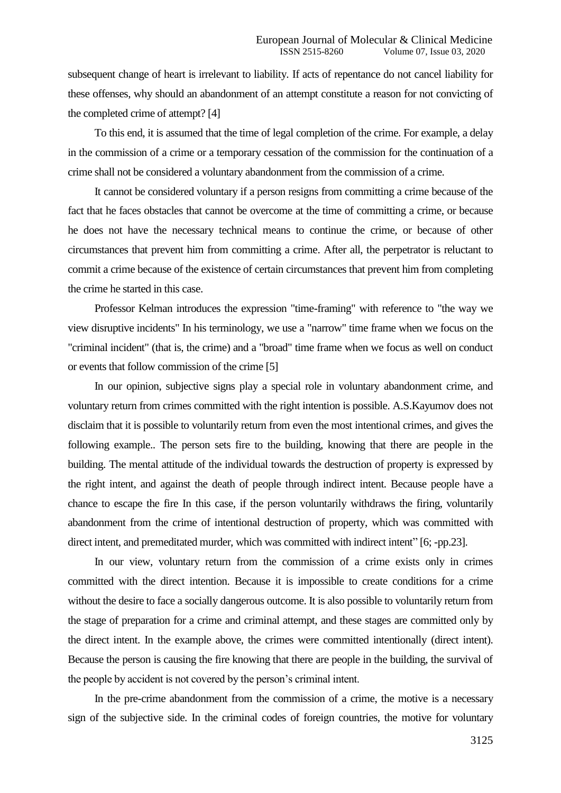subsequent change of heart is irrelevant to liability. If acts of repentance do not cancel liability for these offenses, why should an abandonment of an attempt constitute a reason for not convicting of the completed crime of attempt? [4]

To this end, it is assumed that the time of legal completion of the crime. For example, a delay in the commission of a crime or a temporary cessation of the commission for the continuation of a crime shall not be considered a voluntary abandonment from the commission of a crime.

It cannot be considered voluntary if a person resigns from committing a crime because of the fact that he faces obstacles that cannot be overcome at the time of committing a crime, or because he does not have the necessary technical means to continue the crime, or because of other circumstances that prevent him from committing a crime. After all, the perpetrator is reluctant to commit a crime because of the existence of certain circumstances that prevent him from completing the crime he started in this case.

Professor Kelman introduces the expression "time-framing" with reference to "the way we view disruptive incidents" In his terminology, we use a "narrow" time frame when we focus on the "criminal incident" (that is, the crime) and a "broad" time frame when we focus as well on conduct or events that follow commission of the crime [5]

In our opinion, subjective signs play a special role in voluntary abandonment crime, and voluntary return from crimes committed with the right intention is possible. A.S.Kayumov does not disclaim that it is possible to voluntarily return from even the most intentional crimes, and gives the following example.. The person sets fire to the building, knowing that there are people in the building. The mental attitude of the individual towards the destruction of property is expressed by the right intent, and against the death of people through indirect intent. Because people have a chance to escape the fire In this case, if the person voluntarily withdraws the firing, voluntarily abandonment from the crime of intentional destruction of property, which was committed with direct intent, and premeditated murder, which was committed with indirect intent" [6; -pp.23].

In our view, voluntary return from the commission of a crime exists only in crimes committed with the direct intention. Because it is impossible to create conditions for a crime without the desire to face a socially dangerous outcome. It is also possible to voluntarily return from the stage of preparation for a crime and criminal attempt, and these stages are committed only by the direct intent. In the example above, the crimes were committed intentionally (direct intent). Because the person is causing the fire knowing that there are people in the building, the survival of the people by accident is not covered by the person's criminal intent.

In the pre-crime abandonment from the commission of a crime, the motive is a necessary sign of the subjective side. In the criminal codes of foreign countries, the motive for voluntary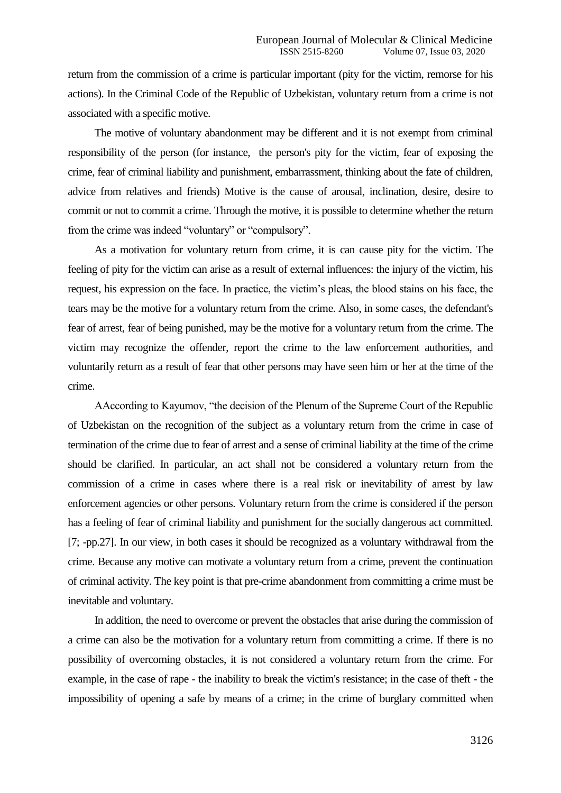return from the commission of a crime is particular important (pity for the victim, remorse for his actions). In the Criminal Code of the Republic of Uzbekistan, voluntary return from a crime is not associated with a specific motive.

The motive of voluntary abandonment may be different and it is not exempt from criminal responsibility of the person (for instance, the person's pity for the victim, fear of exposing the crime, fear of criminal liability and punishment, embarrassment, thinking about the fate of children, advice from relatives and friends) Motive is the cause of arousal, inclination, desire, desire to commit or not to commit a crime. Through the motive, it is possible to determine whether the return from the crime was indeed "voluntary" or "compulsory".

As a motivation for voluntary return from crime, it is can cause pity for the victim. The feeling of pity for the victim can arise as a result of external influences: the injury of the victim, his request, his expression on the face. In practice, the victim's pleas, the blood stains on his face, the tears may be the motive for a voluntary return from the crime. Also, in some cases, the defendant's fear of arrest, fear of being punished, may be the motive for a voluntary return from the crime. The victim may recognize the offender, report the crime to the law enforcement authorities, and voluntarily return as a result of fear that other persons may have seen him or her at the time of the crime.

АAccording to Kayumov, "the decision of the Plenum of the Supreme Court of the Republic of Uzbekistan on the recognition of the subject as a voluntary return from the crime in case of termination of the crime due to fear of arrest and a sense of criminal liability at the time of the crime should be clarified. In particular, an act shall not be considered a voluntary return from the commission of a crime in cases where there is a real risk or inevitability of arrest by law enforcement agencies or other persons. Voluntary return from the crime is considered if the person has a feeling of fear of criminal liability and punishment for the socially dangerous act committed. [7; -pp.27]. In our view, in both cases it should be recognized as a voluntary withdrawal from the crime. Because any motive can motivate a voluntary return from a crime, prevent the continuation of criminal activity. The key point is that pre-crime abandonment from committing a crime must be inevitable and voluntary.

In addition, the need to overcome or prevent the obstacles that arise during the commission of a crime can also be the motivation for a voluntary return from committing a crime. If there is no possibility of overcoming obstacles, it is not considered a voluntary return from the crime. For example, in the case of rape - the inability to break the victim's resistance; in the case of theft - the impossibility of opening a safe by means of a crime; in the crime of burglary committed when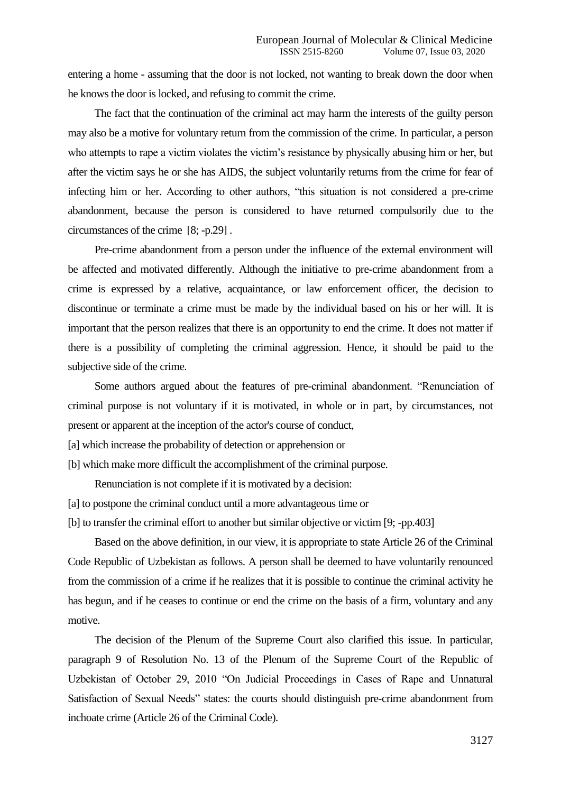entering a home - assuming that the door is not locked, not wanting to break down the door when he knows the door is locked, and refusing to commit the crime.

The fact that the continuation of the criminal act may harm the interests of the guilty person may also be a motive for voluntary return from the commission of the crime. In particular, a person who attempts to rape a victim violates the victim's resistance by physically abusing him or her, but after the victim says he or she has AIDS, the subject voluntarily returns from the crime for fear of infecting him or her. According to other authors, "this situation is not considered a pre-crime abandonment, because the person is considered to have returned compulsorily due to the circumstances of the crime [8; -p.29] .

Pre-crime abandonment from a person under the influence of the external environment will be affected and motivated differently. Although the initiative to pre-crime abandonment from a crime is expressed by a relative, acquaintance, or law enforcement officer, the decision to discontinue or terminate a crime must be made by the individual based on his or her will. It is important that the person realizes that there is an opportunity to end the crime. It does not matter if there is a possibility of completing the criminal aggression. Hence, it should be paid to the subjective side of the crime.

Some authors argued about the features of pre-criminal abandonment. "Renunciation of criminal purpose is not voluntary if it is motivated, in whole or in part, by circumstances, not present or apparent at the inception of the actor's course of conduct,

[a] which increase the probability of detection or apprehension or

[b] which make more difficult the accomplishment of the criminal purpose.

Renunciation is not complete if it is motivated by a decision:

- [a] to postpone the criminal conduct until a more advantageous time or
- [b] to transfer the criminal effort to another but similar objective or victim [9; -pp.403]

Based on the above definition, in our view, it is appropriate to state Article 26 of the Criminal Code Republic of Uzbekistan as follows. A person shall be deemed to have voluntarily renounced from the commission of a crime if he realizes that it is possible to continue the criminal activity he has begun, and if he ceases to continue or end the crime on the basis of a firm, voluntary and any motive.

The decision of the Plenum of the Supreme Court also clarified this issue. In particular, paragraph 9 of Resolution No. 13 of the Plenum of the Supreme Court of the Republic of Uzbekistan of October 29, 2010 "On Judicial Proceedings in Cases of Rape and Unnatural Satisfaction of Sexual Needs" states: the courts should distinguish pre-crime abandonment from inchoate crime (Article 26 of the Criminal Code).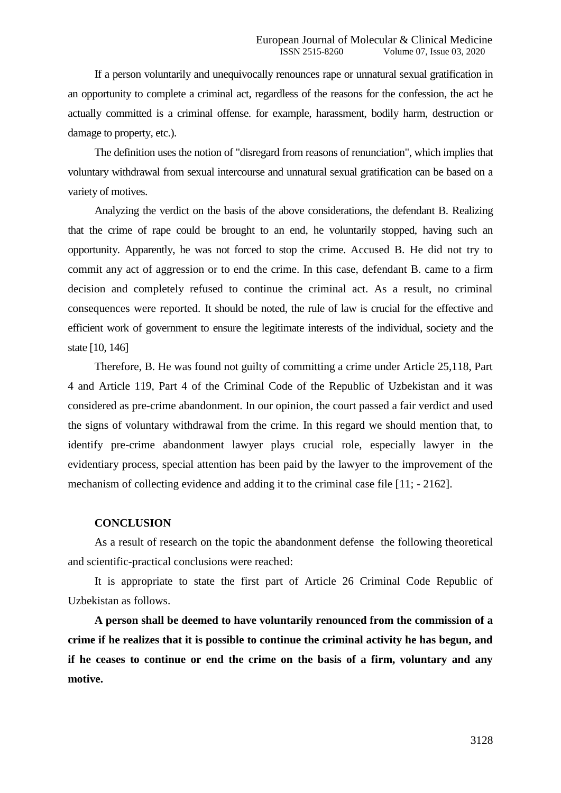If a person voluntarily and unequivocally renounces rape or unnatural sexual gratification in an opportunity to complete a criminal act, regardless of the reasons for the confession, the act he actually committed is a criminal offense. for example, harassment, bodily harm, destruction or damage to property, etc.).

The definition uses the notion of "disregard from reasons of renunciation", which implies that voluntary withdrawal from sexual intercourse and unnatural sexual gratification can be based on a variety of motives.

Analyzing the verdict on the basis of the above considerations, the defendant B. Realizing that the crime of rape could be brought to an end, he voluntarily stopped, having such an opportunity. Apparently, he was not forced to stop the crime. Accused B. He did not try to commit any act of aggression or to end the crime. In this case, defendant B. came to a firm decision and completely refused to continue the criminal act. As a result, no criminal consequences were reported. It should be noted, the rule of law is crucial for the effective and efficient work of government to ensure the legitimate interests of the individual, society and the state [10, 146]

Therefore, B. He was found not guilty of committing a crime under Article 25,118, Part 4 and Article 119, Part 4 of the Criminal Code of the Republic of Uzbekistan and it was considered as pre-crime abandonment. In our opinion, the court passed a fair verdict and used the signs of voluntary withdrawal from the crime. In this regard we should mention that, to identify pre-crime abandonment lawyer plays crucial role, especially lawyer in the evidentiary process, special attention has been paid by the lawyer to the improvement of the mechanism of collecting evidence and adding it to the criminal case file [11; - 2162].

#### **CONCLUSION**

As a result of research on the topic the abandonment defense the following theoretical and scientific-practical conclusions were reached:

It is appropriate to state the first part of Article 26 Criminal Code Republic of Uzbekistan as follows.

**A person shall be deemed to have voluntarily renounced from the commission of a crime if he realizes that it is possible to continue the criminal activity he has begun, and if he ceases to continue or end the crime on the basis of a firm, voluntary and any motive.**